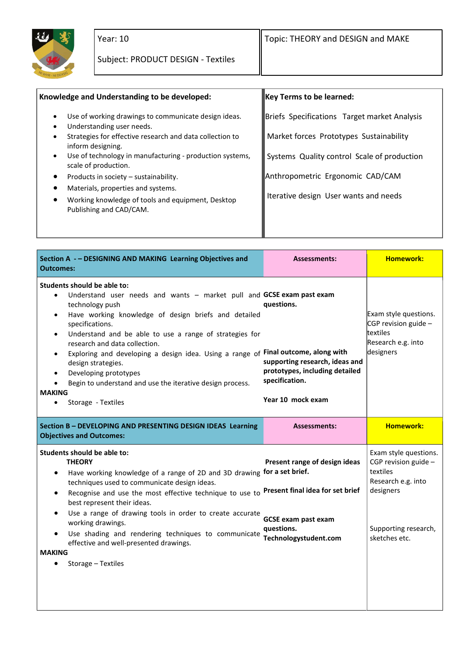

| Knowledge and Understanding to be developed:                                                                       | <b>Key Terms to be learned:</b>              |
|--------------------------------------------------------------------------------------------------------------------|----------------------------------------------|
| Use of working drawings to communicate design ideas.<br>$\bullet$<br>Understanding user needs.<br>$\bullet$        | Briefs Specifications Target market Analysis |
| Strategies for effective research and data collection to<br>inform designing.                                      | Market forces Prototypes Sustainability      |
| Use of technology in manufacturing - production systems,<br>$\bullet$<br>scale of production.                      | Systems Quality control Scale of production  |
| Products in society - sustainability.                                                                              | Anthropometric Ergonomic CAD/CAM             |
| Materials, properties and systems.<br>Working knowledge of tools and equipment, Desktop<br>Publishing and CAD/CAM. | Iterative design User wants and needs        |
|                                                                                                                    |                                              |

| Section A - - DESIGNING AND MAKING Learning Objectives and<br><b>Outcomes:</b>                                                                                                                                                                                                                                                                                                                                                                                                                                                                                                                   | <b>Assessments:</b>                                                                                                   | <b>Homework:</b>                                                                                                                        |
|--------------------------------------------------------------------------------------------------------------------------------------------------------------------------------------------------------------------------------------------------------------------------------------------------------------------------------------------------------------------------------------------------------------------------------------------------------------------------------------------------------------------------------------------------------------------------------------------------|-----------------------------------------------------------------------------------------------------------------------|-----------------------------------------------------------------------------------------------------------------------------------------|
| Students should be able to:<br>Understand user needs and wants - market pull and GCSE exam past exam<br>$\bullet$<br>technology push<br>Have working knowledge of design briefs and detailed<br>$\bullet$<br>specifications.<br>Understand and be able to use a range of strategies for<br>$\bullet$<br>research and data collection.<br>Exploring and developing a design idea. Using a range of Final outcome, along with<br>$\bullet$<br>design strategies.<br>Developing prototypes<br>٠<br>Begin to understand and use the iterative design process.<br><b>MAKING</b><br>Storage - Textiles | questions.<br>supporting research, ideas and<br>prototypes, including detailed<br>specification.<br>Year 10 mock exam | Exam style questions.<br>CGP revision guide -<br>ltextiles<br>Research e.g. into<br>designers                                           |
| Section B - DEVELOPING AND PRESENTING DESIGN IDEAS Learning<br><b>Objectives and Outcomes:</b>                                                                                                                                                                                                                                                                                                                                                                                                                                                                                                   | <b>Assessments:</b>                                                                                                   | <b>Homework:</b>                                                                                                                        |
| Students should be able to:<br><b>THEORY</b><br>Have working knowledge of a range of 2D and 3D drawing for a set brief.<br>techniques used to communicate design ideas.<br>Recognise and use the most effective technique to use to Present final idea for set brief<br>best represent their ideas.<br>Use a range of drawing tools in order to create accurate<br>$\bullet$<br>working drawings.<br>Use shading and rendering techniques to communicate<br>$\bullet$<br>effective and well-presented drawings.<br><b>MAKING</b><br>Storage - Textiles                                           | Present range of design ideas<br><b>GCSE exam past exam</b><br>questions.<br>Technologystudent.com                    | Exam style questions.<br>CGP revision guide $-$<br>textiles<br>Research e.g. into<br>designers<br>Supporting research,<br>sketches etc. |